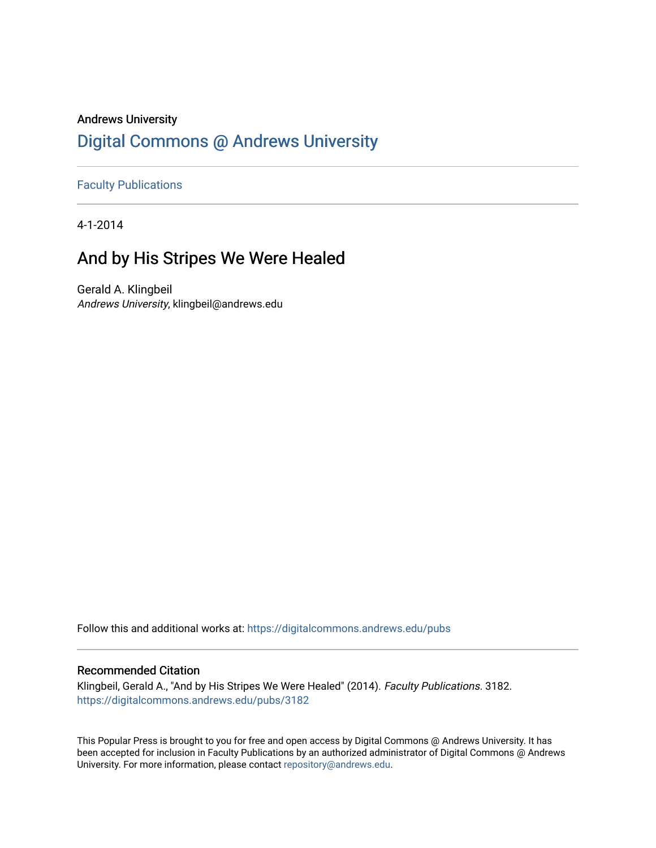## Andrews University [Digital Commons @ Andrews University](https://digitalcommons.andrews.edu/)

[Faculty Publications](https://digitalcommons.andrews.edu/pubs)

4-1-2014

## And by His Stripes We Were Healed

Gerald A. Klingbeil Andrews University, klingbeil@andrews.edu

Follow this and additional works at: [https://digitalcommons.andrews.edu/pubs](https://digitalcommons.andrews.edu/pubs?utm_source=digitalcommons.andrews.edu%2Fpubs%2F3182&utm_medium=PDF&utm_campaign=PDFCoverPages) 

### Recommended Citation

Klingbeil, Gerald A., "And by His Stripes We Were Healed" (2014). Faculty Publications. 3182. [https://digitalcommons.andrews.edu/pubs/3182](https://digitalcommons.andrews.edu/pubs/3182?utm_source=digitalcommons.andrews.edu%2Fpubs%2F3182&utm_medium=PDF&utm_campaign=PDFCoverPages) 

This Popular Press is brought to you for free and open access by Digital Commons @ Andrews University. It has been accepted for inclusion in Faculty Publications by an authorized administrator of Digital Commons @ Andrews University. For more information, please contact [repository@andrews.edu](mailto:repository@andrews.edu).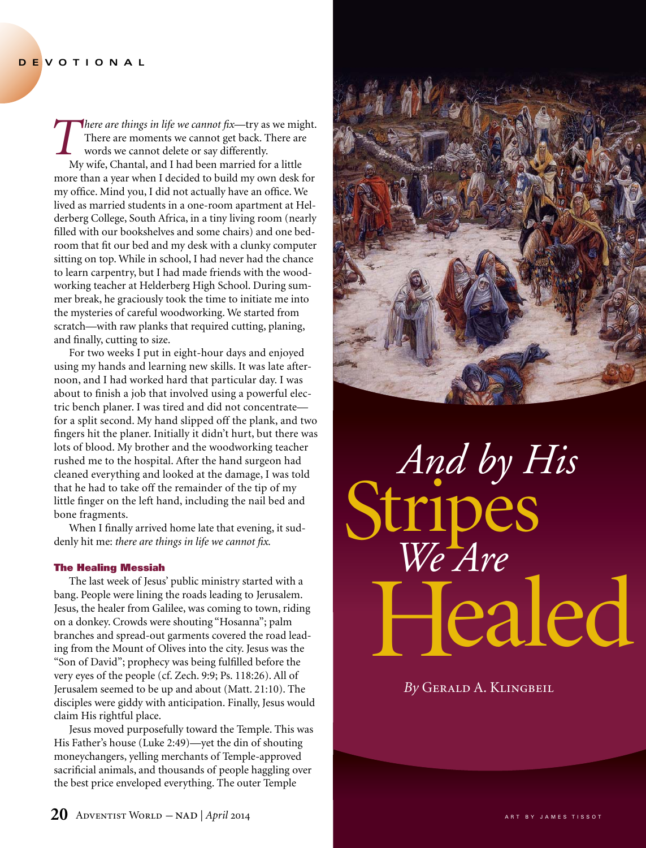*There are things in life we cannot fix*—try as we might.<br>There are moments we cannot get back. There are words we cannot delete or say differently.<br>My wife. Chantal, and I had been married for a little There are moments we cannot get back. There are words we cannot delete or say differently. My wife, Chantal, and I had been married for a little more than a year when I decided to build my own desk for my office. Mind you, I did not actually have an office. We lived as married students in a one-room apartment at Helderberg College, South Africa, in a tiny living room (nearly filled with our bookshelves and some chairs) and one bedroom that fit our bed and my desk with a clunky computer sitting on top. While in school, I had never had the chance to learn carpentry, but I had made friends with the woodworking teacher at Helderberg High School. During summer break, he graciously took the time to initiate me into the mysteries of careful woodworking. We started from scratch—with raw planks that required cutting, planing, and finally, cutting to size.

For two weeks I put in eight-hour days and enjoyed using my hands and learning new skills. It was late afternoon, and I had worked hard that particular day. I was about to finish a job that involved using a powerful electric bench planer. I was tired and did not concentrate for a split second. My hand slipped off the plank, and two fingers hit the planer. Initially it didn't hurt, but there was lots of blood. My brother and the woodworking teacher rushed me to the hospital. After the hand surgeon had cleaned everything and looked at the damage, I was told that he had to take off the remainder of the tip of my little finger on the left hand, including the nail bed and bone fragments.

When I finally arrived home late that evening, it suddenly hit me: *there are things in life we cannot fix.*

#### The Healing Messiah

The last week of Jesus' public ministry started with a bang. People were lining the roads leading to Jerusalem. Jesus, the healer from Galilee, was coming to town, riding on a donkey. Crowds were shouting "Hosanna"; palm branches and spread-out garments covered the road leading from the Mount of Olives into the city. Jesus was the "Son of David"; prophecy was being fulfilled before the very eyes of the people (cf. Zech. 9:9; Ps. 118:26). All of Jerusalem seemed to be up and about (Matt. 21:10). The disciples were giddy with anticipation. Finally, Jesus would claim His rightful place.

Jesus moved purposefully toward the Temple. This was His Father's house (Luke 2:49)—yet the din of shouting moneychangers, yelling merchants of Temple-approved sacrificial animals, and thousands of people haggling over the best price enveloped everything. The outer Temple



# H ealed *And by His*  Stripes *We Are*

*By* Gerald A. Klingbeil